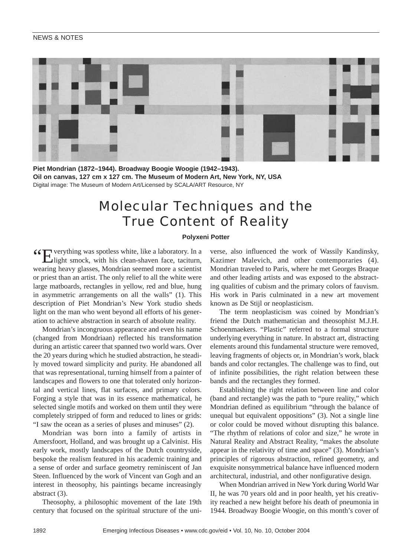## NEWS & NOTES



**Piet Mondrian (1872–1944). Broadway Boogie Woogie (1942–1943). Oil on canvas, 127 cm x 127 cm. The Museum of Modern Art, New York, NY, USA** Digital image: The Museum of Modern Art/Licensed by SCALA/ART Resource, NY

# Molecular Techniques and the True Content of Reality

#### **Polyxeni Potter**

"Everything was spotless white, like a laboratory. In a light smock, with his clean-shaven face, taciturn, wearing heavy glasses, Mondrian seemed more a scientist or priest than an artist. The only relief to all the white were large matboards, rectangles in yellow, red and blue, hung in asymmetric arrangements on all the walls" (1). This description of Piet Mondrian's New York studio sheds light on the man who went beyond all efforts of his generation to achieve abstraction in search of absolute reality.

Mondrian's incongruous appearance and even his name (changed from Mondriaan) reflected his transformation during an artistic career that spanned two world wars. Over the 20 years during which he studied abstraction, he steadily moved toward simplicity and purity. He abandoned all that was representational, turning himself from a painter of landscapes and flowers to one that tolerated only horizontal and vertical lines, flat surfaces, and primary colors. Forging a style that was in its essence mathematical, he selected single motifs and worked on them until they were completely stripped of form and reduced to lines or grids: "I saw the ocean as a series of pluses and minuses" (2).

Mondrian was born into a family of artists in Amersfoort, Holland, and was brought up a Calvinist. His early work, mostly landscapes of the Dutch countryside, bespoke the realism featured in his academic training and a sense of order and surface geometry reminiscent of Jan Steen. Influenced by the work of Vincent van Gogh and an interest in theosophy, his paintings became increasingly abstract (3).

Theosophy, a philosophic movement of the late 19th century that focused on the spiritual structure of the universe, also influenced the work of Wassily Kandinsky, Kazimer Malevich, and other contemporaries (4). Mondrian traveled to Paris, where he met Georges Braque and other leading artists and was exposed to the abstracting qualities of cubism and the primary colors of fauvism. His work in Paris culminated in a new art movement known as De Stijl or neoplasticism.

The term neoplasticism was coined by Mondrian's friend the Dutch mathematician and theosophist M.J.H. Schoenmaekers. "Plastic" referred to a formal structure underlying everything in nature. In abstract art, distracting elements around this fundamental structure were removed, leaving fragments of objects or, in Mondrian's work, black bands and color rectangles. The challenge was to find, out of infinite possibilities, the right relation between these bands and the rectangles they formed.

Establishing the right relation between line and color (band and rectangle) was the path to "pure reality," which Mondrian defined as equilibrium "through the balance of unequal but equivalent oppositions" (3). Not a single line or color could be moved without disrupting this balance. "The rhythm of relations of color and size," he wrote in Natural Reality and Abstract Reality, "makes the absolute appear in the relativity of time and space" (3). Mondrian's principles of rigorous abstraction, refined geometry, and exquisite nonsymmetrical balance have influenced modern architectural, industrial, and other nonfigurative design.

When Mondrian arrived in New York during World War II, he was 70 years old and in poor health, yet his creativity reached a new height before his death of pneumonia in 1944. Broadway Boogie Woogie, on this month's cover of